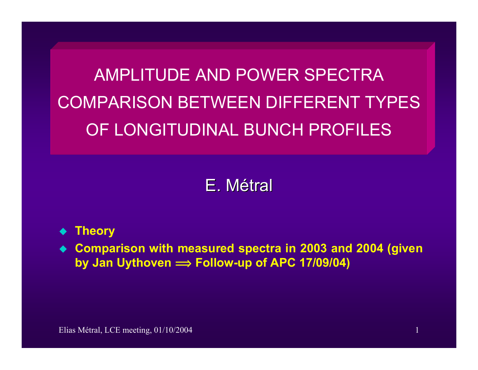AMPLITUDE AND POWER SPECTRA COMPARISON BETWEEN DIFFERENT TYPESOF LONGITUDINAL BUNCH PROFILES

# E. Métral

- ♦ **Theory**
- **Comparison with measured spectra in 2003 and 2004 (given by Jan Uythoven <sup>î</sup> Follow-up of APC 17/09/04)**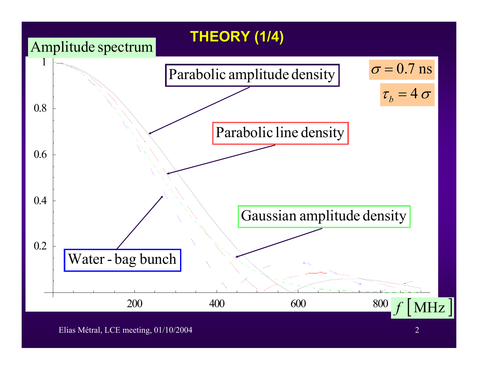

Elias Métral, LCE meeting, 01/10/2004 2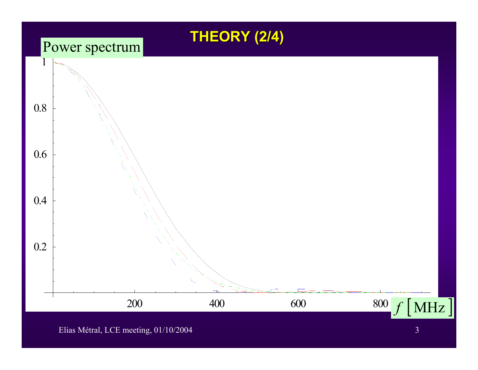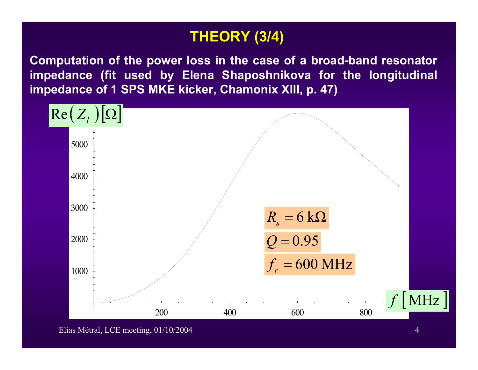## **THEORY (3/4) THEORY (3/4)**

**Computation of the power loss in the case of a broad-band resonator impedance (fit used by Elena Shaposhnikova for the longitudinal impedance of 1 SPS MKE kicker, Chamonix XIII, p. 47)**



Elias Métral, LCE meeting, 01/10/2004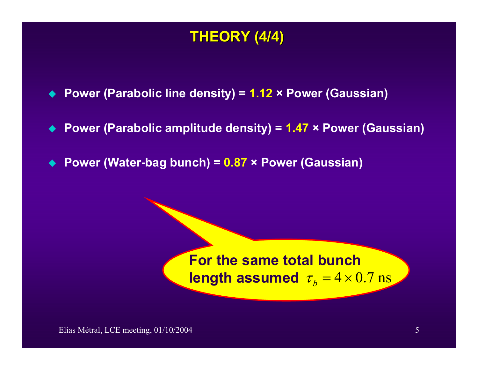## **THEORY (4/4) THEORY (4/4)**

- ♦ **Power (Parabolic line density) = 1.12 × Power (Gaussian)**
- $\blacklozenge$ **Power (Parabolic amplitude density) = 1.47 × Power (Gaussian)**
- $\bullet$ **Power (Water-bag bunch) = 0.87 × Power (Gaussian)**

## **For the same total bunch**  $\bm{{\sf length}}$  assumed  $\tau_{\it b}$  =  $4\!\times\!0.7$   $\bm{{\rm ns}}$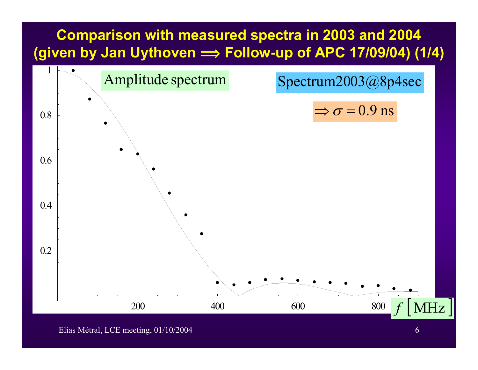## **Comparison with measured spectra in 2003 and 2004 (given by Jan Uythoven <sup>î</sup> Follow-up of APC 17/09/04) (1/4)**



Elias Métral, LCE meeting, 01/10/2004 6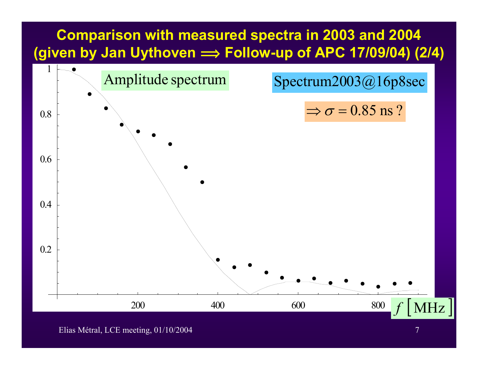## **Comparison with measured spectra in 2003 and 2004 (given by Jan Uythoven <sup>î</sup> Follow-up of APC 17/09/04) (2/4)**



Elias Métral, LCE meeting, 01/10/2004 7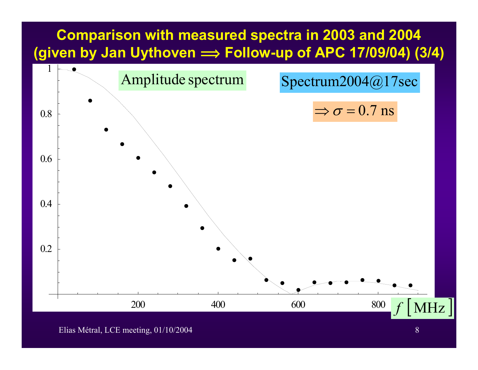#### **Comparison with measured spectra in 2003 and 2004 (given by Jan Uythoven <sup>î</sup> Follow-up of APC 17/09/04) (3/4)**



Elias Métral, LCE meeting, 01/10/2004 8